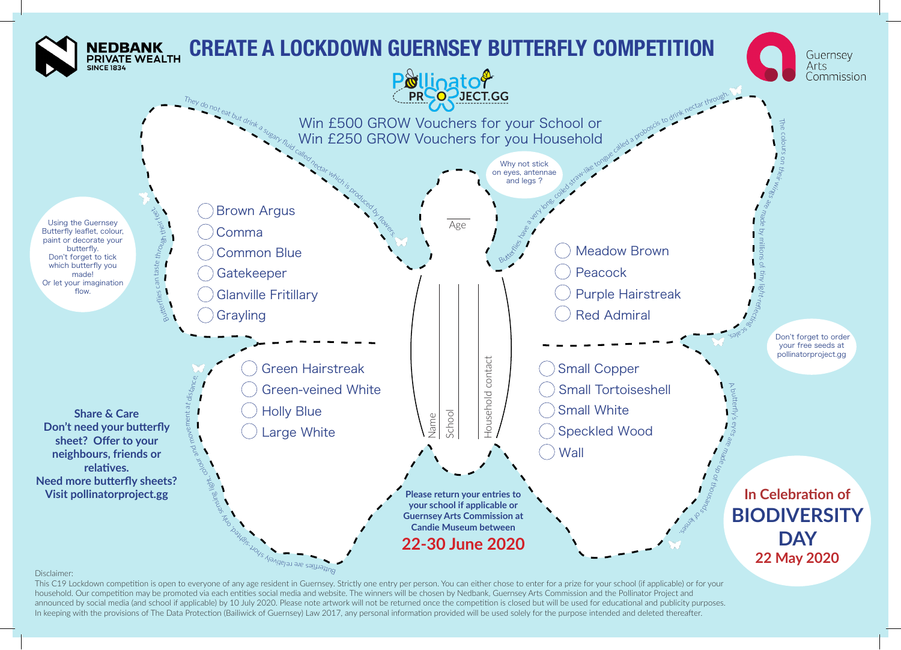

## Disclaimer:

This C19 Lockdown competition is open to everyone of any age resident in Guernsey. Strictly one entry per person. You can either chose to enter for a prize for your school (if applicable) or for your household. Our competition may be promoted via each entities social media and website. The winners will be chosen by Nedbank, Guernsey Arts Commission and the Pollinator Project and announced by social media (and school if applicable) by 10 July 2020. Please note artwork will not be returned once the competition is closed but will be used for educational and publicity purposes. In keeping with the provisions of The Data Protection (Bailiwick of Guernsey) Law 2017, any personal information provided will be used solely for the purpose intended and deleted thereafter.